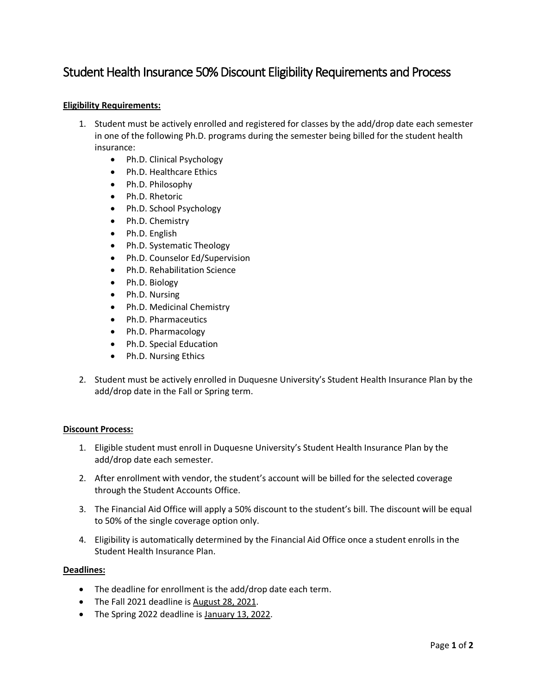# Student Health Insurance 50% Discount Eligibility Requirements and Process

## **Eligibility Requirements:**

- 1. Student must be actively enrolled and registered for classes by the add/drop date each semester in one of the following Ph.D. programs during the semester being billed for the student health insurance:
	- Ph.D. Clinical Psychology
	- Ph.D. Healthcare Ethics
	- Ph.D. Philosophy
	- Ph.D. Rhetoric
	- Ph.D. School Psychology
	- Ph.D. Chemistry
	- Ph.D. English
	- Ph.D. Systematic Theology
	- Ph.D. Counselor Ed/Supervision
	- Ph.D. Rehabilitation Science
	- Ph.D. Biology
	- Ph.D. Nursing
	- Ph.D. Medicinal Chemistry
	- Ph.D. Pharmaceutics
	- Ph.D. Pharmacology
	- Ph.D. Special Education
	- Ph.D. Nursing Ethics
- 2. Student must be actively enrolled in Duquesne University's Student Health Insurance Plan by the add/drop date in the Fall or Spring term.

### **Discount Process:**

- 1. Eligible student must enroll in Duquesne University's Student Health Insurance Plan by the add/drop date each semester.
- 2. After enrollment with vendor, the student's account will be billed for the selected coverage through the Student Accounts Office.
- 3. The Financial Aid Office will apply a 50% discount to the student's bill. The discount will be equal to 50% of the single coverage option only.
- 4. Eligibility is automatically determined by the Financial Aid Office once a student enrolls in the Student Health Insurance Plan.

### **Deadlines:**

- The deadline for enrollment is the add/drop date each term.
- The Fall 2021 deadline is August 28, 2021.
- The Spring 2022 deadline is January 13, 2022.